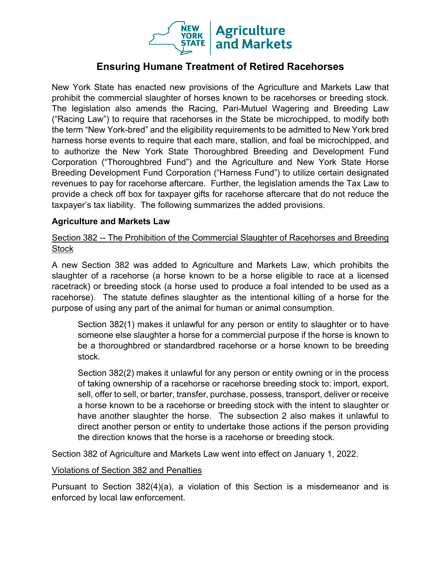

## **Ensuring Humane Treatment of Retired Racehorses**

New York State has enacted new provisions of the Agriculture and Markets Law that prohibit the commercial slaughter of horses known to be racehorses or breeding stock. The legislation also amends the Racing, Pari-Mutuel Wagering and Breeding Law ("Racing Law") to require that racehorses in the State be microchipped, to modify both the term "New York-bred" and the eligibility requirements to be admitted to New York bred harness horse events to require that each mare, stallion, and foal be microchipped, and to authorize the New York State Thoroughbred Breeding and Development Fund Corporation ("Thoroughbred Fund") and the Agriculture and New York State Horse Breeding Development Fund Corporation ("Harness Fund") to utilize certain designated revenues to pay for racehorse aftercare. Further, the legislation amends the Tax Law to provide a check off box for taxpayer gifts for racehorse aftercare that do not reduce the taxpayer's tax liability. The following summarizes the added provisions.

### **Agriculture and Markets Law**

Section 382 -- The Prohibition of the Commercial Slaughter of Racehorses and Breeding Stock

A new Section 382 was added to Agriculture and Markets Law, which prohibits the slaughter of a racehorse (a horse known to be a horse eligible to race at a licensed racetrack) or breeding stock (a horse used to produce a foal intended to be used as a racehorse). The statute defines slaughter as the intentional killing of a horse for the purpose of using any part of the animal for human or animal consumption.

Section 382(1) makes it unlawful for any person or entity to slaughter or to have someone else slaughter a horse for a commercial purpose if the horse is known to be a thoroughbred or standardbred racehorse or a horse known to be breeding stock.

Section 382(2) makes it unlawful for any person or entity owning or in the process of taking ownership of a racehorse or racehorse breeding stock to: import, export, sell, offer to sell, or barter, transfer, purchase, possess, transport, deliver or receive a horse known to be a racehorse or breeding stock with the intent to slaughter or have another slaughter the horse. The subsection 2 also makes it unlawful to direct another person or entity to undertake those actions if the person providing the direction knows that the horse is a racehorse or breeding stock.

Section 382 of Agriculture and Markets Law went into effect on January 1, 2022.

#### Violations of Section 382 and Penalties

Pursuant to Section 382(4)(a), a violation of this Section is a misdemeanor and is enforced by local law enforcement.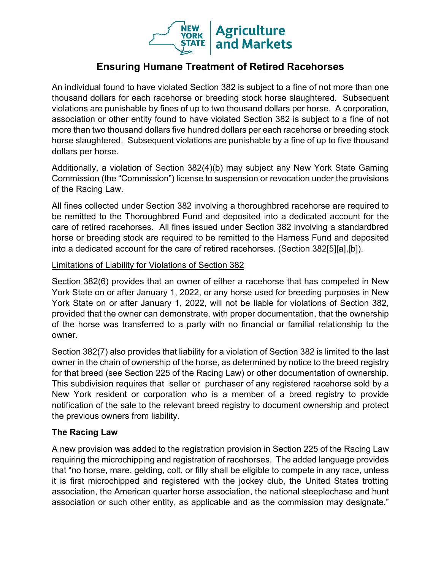

# **Ensuring Humane Treatment of Retired Racehorses**

An individual found to have violated Section 382 is subject to a fine of not more than one thousand dollars for each racehorse or breeding stock horse slaughtered. Subsequent violations are punishable by fines of up to two thousand dollars per horse. A corporation, association or other entity found to have violated Section 382 is subject to a fine of not more than two thousand dollars five hundred dollars per each racehorse or breeding stock horse slaughtered. Subsequent violations are punishable by a fine of up to five thousand dollars per horse.

Additionally, a violation of Section 382(4)(b) may subject any New York State Gaming Commission (the "Commission") license to suspension or revocation under the provisions of the Racing Law.

All fines collected under Section 382 involving a thoroughbred racehorse are required to be remitted to the Thoroughbred Fund and deposited into a dedicated account for the care of retired racehorses. All fines issued under Section 382 involving a standardbred horse or breeding stock are required to be remitted to the Harness Fund and deposited into a dedicated account for the care of retired racehorses. (Section 382[5][a],[b]).

### Limitations of Liability for Violations of Section 382

Section 382(6) provides that an owner of either a racehorse that has competed in New York State on or after January 1, 2022, or any horse used for breeding purposes in New York State on or after January 1, 2022, will not be liable for violations of Section 382, provided that the owner can demonstrate, with proper documentation, that the ownership of the horse was transferred to a party with no financial or familial relationship to the owner.

Section 382(7) also provides that liability for a violation of Section 382 is limited to the last owner in the chain of ownership of the horse, as determined by notice to the breed registry for that breed (see Section 225 of the Racing Law) or other documentation of ownership. This subdivision requires that seller or purchaser of any registered racehorse sold by a New York resident or corporation who is a member of a breed registry to provide notification of the sale to the relevant breed registry to document ownership and protect the previous owners from liability.

### **The Racing Law**

A new provision was added to the registration provision in Section 225 of the Racing Law requiring the microchipping and registration of racehorses. The added language provides that "no horse, mare, gelding, colt, or filly shall be eligible to compete in any race, unless it is first microchipped and registered with the jockey club, the United States trotting association, the American quarter horse association, the national steeplechase and hunt association or such other entity, as applicable and as the commission may designate."